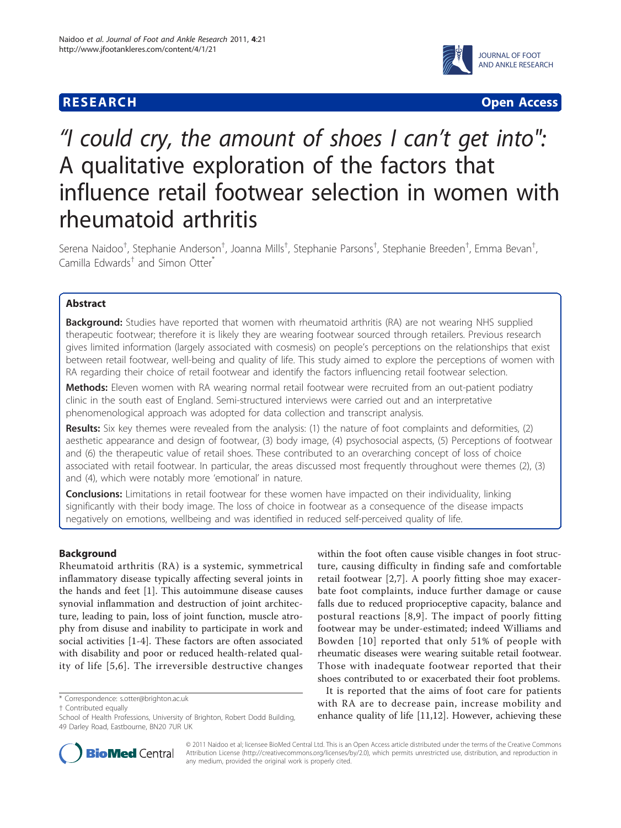# **RESEARCH CONSTRUCTION CONTROL**



# "I could cry, the amount of shoes I can't get into": A qualitative exploration of the factors that influence retail footwear selection in women with rheumatoid arthritis

Serena Naidoo<sup>†</sup>, Stephanie Anderson<sup>†</sup>, Joanna Mills<sup>†</sup>, Stephanie Parsons<sup>†</sup>, Stephanie Breeden<sup>†</sup>, Emma Bevan<sup>†</sup> , Camilla Edwards<sup>†</sup> and Simon Otter<sup>\*</sup>

# Abstract

**Background:** Studies have reported that women with rheumatoid arthritis (RA) are not wearing NHS supplied therapeutic footwear; therefore it is likely they are wearing footwear sourced through retailers. Previous research gives limited information (largely associated with cosmesis) on people's perceptions on the relationships that exist between retail footwear, well-being and quality of life. This study aimed to explore the perceptions of women with RA regarding their choice of retail footwear and identify the factors influencing retail footwear selection.

Methods: Eleven women with RA wearing normal retail footwear were recruited from an out-patient podiatry clinic in the south east of England. Semi-structured interviews were carried out and an interpretative phenomenological approach was adopted for data collection and transcript analysis.

Results: Six key themes were revealed from the analysis: (1) the nature of foot complaints and deformities, (2) aesthetic appearance and design of footwear, (3) body image, (4) psychosocial aspects, (5) Perceptions of footwear and (6) the therapeutic value of retail shoes. These contributed to an overarching concept of loss of choice associated with retail footwear. In particular, the areas discussed most frequently throughout were themes (2), (3) and (4), which were notably more 'emotional' in nature.

**Conclusions:** Limitations in retail footwear for these women have impacted on their individuality, linking significantly with their body image. The loss of choice in footwear as a consequence of the disease impacts negatively on emotions, wellbeing and was identified in reduced self-perceived quality of life.

# Background

Rheumatoid arthritis (RA) is a systemic, symmetrical inflammatory disease typically affecting several joints in the hands and feet [[1\]](#page-6-0). This autoimmune disease causes synovial inflammation and destruction of joint architecture, leading to pain, loss of joint function, muscle atrophy from disuse and inability to participate in work and social activities [\[1](#page-6-0)-[4\]](#page-6-0). These factors are often associated with disability and poor or reduced health-related quality of life [[5,6\]](#page-6-0). The irreversible destructive changes

† Contributed equally

within the foot often cause visible changes in foot structure, causing difficulty in finding safe and comfortable retail footwear [\[2](#page-6-0),[7\]](#page-6-0). A poorly fitting shoe may exacerbate foot complaints, induce further damage or cause falls due to reduced proprioceptive capacity, balance and postural reactions [[8,9](#page-6-0)]. The impact of poorly fitting footwear may be under-estimated; indeed Williams and Bowden [[10](#page-6-0)] reported that only 51% of people with rheumatic diseases were wearing suitable retail footwear. Those with inadequate footwear reported that their shoes contributed to or exacerbated their foot problems.

It is reported that the aims of foot care for patients with RA are to decrease pain, increase mobility and enhance quality of life [\[11,12\]](#page-6-0). However, achieving these



© 2011 Naidoo et al; licensee BioMed Central Ltd. This is an Open Access article distributed under the terms of the Creative Commons Attribution License [\(http://creativecommons.org/licenses/by/2.0](http://creativecommons.org/licenses/by/2.0)), which permits unrestricted use, distribution, and reproduction in any medium, provided the original work is properly cited.

<sup>\*</sup> Correspondence: [s.otter@brighton.ac.uk](mailto:s.otter@brighton.ac.uk)

School of Health Professions, University of Brighton, Robert Dodd Building, 49 Darley Road, Eastbourne, BN20 7UR UK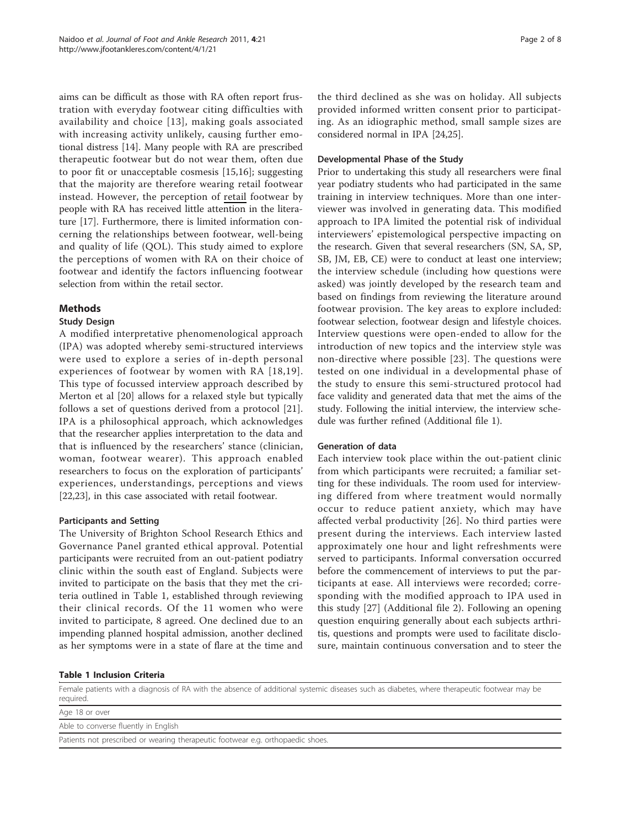aims can be difficult as those with RA often report frustration with everyday footwear citing difficulties with availability and choice [[13](#page-6-0)], making goals associated with increasing activity unlikely, causing further emotional distress [[14\]](#page-6-0). Many people with RA are prescribed therapeutic footwear but do not wear them, often due to poor fit or unacceptable cosmesis [\[15](#page-6-0),[16\]](#page-6-0); suggesting that the majority are therefore wearing retail footwear instead. However, the perception of retail footwear by people with RA has received little attention in the literature [[17](#page-6-0)]. Furthermore, there is limited information concerning the relationships between footwear, well-being and quality of life (QOL). This study aimed to explore the perceptions of women with RA on their choice of footwear and identify the factors influencing footwear selection from within the retail sector.

# Methods

#### Study Design

A modified interpretative phenomenological approach (IPA) was adopted whereby semi-structured interviews were used to explore a series of in-depth personal experiences of footwear by women with RA [[18,19\]](#page-6-0). This type of focussed interview approach described by Merton et al [[20\]](#page-6-0) allows for a relaxed style but typically follows a set of questions derived from a protocol [[21](#page-6-0)]. IPA is a philosophical approach, which acknowledges that the researcher applies interpretation to the data and that is influenced by the researchers' stance (clinician, woman, footwear wearer). This approach enabled researchers to focus on the exploration of participants' experiences, understandings, perceptions and views [[22,23\]](#page-6-0), in this case associated with retail footwear.

#### Participants and Setting

The University of Brighton School Research Ethics and Governance Panel granted ethical approval. Potential participants were recruited from an out-patient podiatry clinic within the south east of England. Subjects were invited to participate on the basis that they met the criteria outlined in Table 1, established through reviewing their clinical records. Of the 11 women who were invited to participate, 8 agreed. One declined due to an impending planned hospital admission, another declined as her symptoms were in a state of flare at the time and

the third declined as she was on holiday. All subjects provided informed written consent prior to participating. As an idiographic method, small sample sizes are considered normal in IPA [[24](#page-6-0),[25](#page-6-0)].

#### Developmental Phase of the Study

Prior to undertaking this study all researchers were final year podiatry students who had participated in the same training in interview techniques. More than one interviewer was involved in generating data. This modified approach to IPA limited the potential risk of individual interviewers' epistemological perspective impacting on the research. Given that several researchers (SN, SA, SP, SB, JM, EB, CE) were to conduct at least one interview; the interview schedule (including how questions were asked) was jointly developed by the research team and based on findings from reviewing the literature around footwear provision. The key areas to explore included: footwear selection, footwear design and lifestyle choices. Interview questions were open-ended to allow for the introduction of new topics and the interview style was non-directive where possible [[23](#page-6-0)]. The questions were tested on one individual in a developmental phase of the study to ensure this semi-structured protocol had face validity and generated data that met the aims of the study. Following the initial interview, the interview schedule was further refined (Additional file [1](#page-6-0)).

#### Generation of data

Each interview took place within the out-patient clinic from which participants were recruited; a familiar setting for these individuals. The room used for interviewing differed from where treatment would normally occur to reduce patient anxiety, which may have affected verbal productivity [[26\]](#page-6-0). No third parties were present during the interviews. Each interview lasted approximately one hour and light refreshments were served to participants. Informal conversation occurred before the commencement of interviews to put the participants at ease. All interviews were recorded; corresponding with the modified approach to IPA used in this study [[27\]](#page-6-0) (Additional file [2\)](#page-6-0). Following an opening question enquiring generally about each subjects arthritis, questions and prompts were used to facilitate disclosure, maintain continuous conversation and to steer the

#### Table 1 Inclusion Criteria

Female patients with a diagnosis of RA with the absence of additional systemic diseases such as diabetes, where therapeutic footwear may be required

| Age 18 or over |  |  |
|----------------|--|--|
|                |  |  |

#### Able to converse fluently in English

Patients not prescribed or wearing therapeutic footwear e.g. orthopaedic shoes.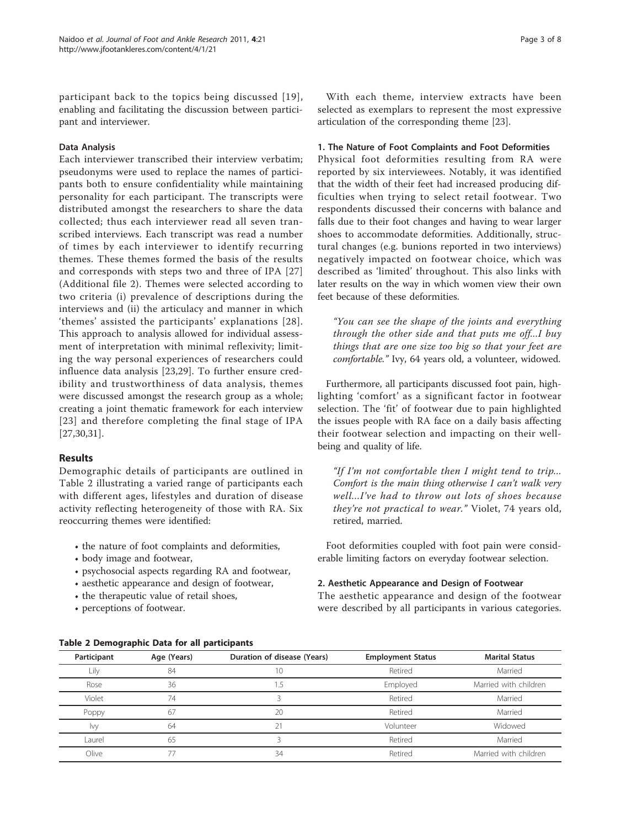participant back to the topics being discussed [[19\]](#page-6-0), enabling and facilitating the discussion between participant and interviewer.

#### Data Analysis

Each interviewer transcribed their interview verbatim; pseudonyms were used to replace the names of participants both to ensure confidentiality while maintaining personality for each participant. The transcripts were distributed amongst the researchers to share the data collected; thus each interviewer read all seven transcribed interviews. Each transcript was read a number of times by each interviewer to identify recurring themes. These themes formed the basis of the results and corresponds with steps two and three of IPA [[27](#page-6-0)] (Additional file 2). Themes were selected according to two criteria (i) prevalence of descriptions during the interviews and (ii) the articulacy and manner in which 'themes' assisted the participants' explanations [[28\]](#page-6-0). This approach to analysis allowed for individual assessment of interpretation with minimal reflexivity; limiting the way personal experiences of researchers could influence data analysis [\[23](#page-6-0),[29\]](#page-6-0). To further ensure credibility and trustworthiness of data analysis, themes were discussed amongst the research group as a whole; creating a joint thematic framework for each interview [[23\]](#page-6-0) and therefore completing the final stage of IPA [[27,30,31](#page-6-0)].

#### Results

Demographic details of participants are outlined in Table 2 illustrating a varied range of participants each with different ages, lifestyles and duration of disease activity reflecting heterogeneity of those with RA. Six reoccurring themes were identified:

- the nature of foot complaints and deformities,
- body image and footwear,
- psychosocial aspects regarding RA and footwear,
- aesthetic appearance and design of footwear,
- the therapeutic value of retail shoes,
- perceptions of footwear.

#### Table 2 Demographic Data for all participants

With each theme, interview extracts have been selected as exemplars to represent the most expressive articulation of the corresponding theme [\[23\]](#page-6-0).

#### 1. The Nature of Foot Complaints and Foot Deformities

Physical foot deformities resulting from RA were reported by six interviewees. Notably, it was identified that the width of their feet had increased producing difficulties when trying to select retail footwear. Two respondents discussed their concerns with balance and falls due to their foot changes and having to wear larger shoes to accommodate deformities. Additionally, structural changes (e.g. bunions reported in two interviews) negatively impacted on footwear choice, which was described as 'limited' throughout. This also links with later results on the way in which women view their own feet because of these deformities.

"You can see the shape of the joints and everything through the other side and that puts me off...I buy things that are one size too big so that your feet are comfortable." Ivy, 64 years old, a volunteer, widowed.

Furthermore, all participants discussed foot pain, highlighting 'comfort' as a significant factor in footwear selection. The 'fit' of footwear due to pain highlighted the issues people with RA face on a daily basis affecting their footwear selection and impacting on their wellbeing and quality of life.

"If I'm not comfortable then I might tend to trip... Comfort is the main thing otherwise I can't walk very well...I've had to throw out lots of shoes because they're not practical to wear." Violet, 74 years old, retired, married.

Foot deformities coupled with foot pain were considerable limiting factors on everyday footwear selection.

#### 2. Aesthetic Appearance and Design of Footwear

The aesthetic appearance and design of the footwear were described by all participants in various categories.

| Participant | Age (Years) | Duration of disease (Years) | <b>Employment Status</b> | <b>Marital Status</b> |
|-------------|-------------|-----------------------------|--------------------------|-----------------------|
| Lily        | 84          | 10                          | Retired                  | Married               |
| Rose        | 36          |                             | Employed                 | Married with children |
| Violet      | 74          |                             | Retired                  | Married               |
| Poppy       | 67          | 20                          | Retired                  | Married               |
| <b>IVV</b>  | 64          |                             | Volunteer                | Widowed               |
| Laurel      | 65          |                             | Retired                  | Married               |
| Olive       |             | 34                          | Retired                  | Married with children |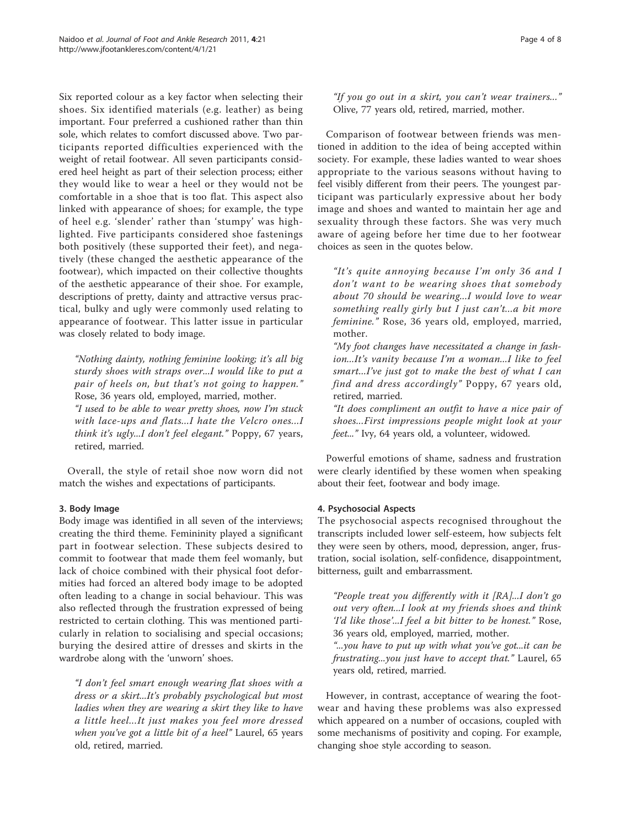Six reported colour as a key factor when selecting their shoes. Six identified materials (e.g. leather) as being important. Four preferred a cushioned rather than thin sole, which relates to comfort discussed above. Two participants reported difficulties experienced with the weight of retail footwear. All seven participants considered heel height as part of their selection process; either they would like to wear a heel or they would not be comfortable in a shoe that is too flat. This aspect also linked with appearance of shoes; for example, the type of heel e.g. 'slender' rather than 'stumpy' was highlighted. Five participants considered shoe fastenings both positively (these supported their feet), and negatively (these changed the aesthetic appearance of the footwear), which impacted on their collective thoughts of the aesthetic appearance of their shoe. For example, descriptions of pretty, dainty and attractive versus practical, bulky and ugly were commonly used relating to appearance of footwear. This latter issue in particular was closely related to body image.

"Nothing dainty, nothing feminine looking; it's all big sturdy shoes with straps over...I would like to put a pair of heels on, but that's not going to happen." Rose, 36 years old, employed, married, mother. "I used to be able to wear pretty shoes, now I'm stuck with lace-ups and flats...I hate the Velcro ones...I think it's ugly...I don't feel elegant." Poppy, 67 years, retired, married.

Overall, the style of retail shoe now worn did not match the wishes and expectations of participants.

#### 3. Body Image

Body image was identified in all seven of the interviews; creating the third theme. Femininity played a significant part in footwear selection. These subjects desired to commit to footwear that made them feel womanly, but lack of choice combined with their physical foot deformities had forced an altered body image to be adopted often leading to a change in social behaviour. This was also reflected through the frustration expressed of being restricted to certain clothing. This was mentioned particularly in relation to socialising and special occasions; burying the desired attire of dresses and skirts in the wardrobe along with the 'unworn' shoes.

"I don't feel smart enough wearing flat shoes with a dress or a skirt...It's probably psychological but most ladies when they are wearing a skirt they like to have a little heel...It just makes you feel more dressed when you've got a little bit of a heel" Laurel, 65 years old, retired, married.

"If you go out in a skirt, you can't wear trainers..." Olive, 77 years old, retired, married, mother.

Comparison of footwear between friends was mentioned in addition to the idea of being accepted within society. For example, these ladies wanted to wear shoes appropriate to the various seasons without having to feel visibly different from their peers. The youngest participant was particularly expressive about her body image and shoes and wanted to maintain her age and sexuality through these factors. She was very much aware of ageing before her time due to her footwear choices as seen in the quotes below.

"It's quite annoying because I'm only 36 and I don't want to be wearing shoes that somebody about 70 should be wearing...I would love to wear something really girly but I just can't...a bit more feminine." Rose, 36 years old, employed, married, mother.

"My foot changes have necessitated a change in fashion...It's vanity because I'm a woman...I like to feel smart...I've just got to make the best of what I can find and dress accordingly" Poppy, 67 years old, retired, married.

"It does compliment an outfit to have a nice pair of shoes...First impressions people might look at your feet..." Ivy, 64 years old, a volunteer, widowed.

Powerful emotions of shame, sadness and frustration were clearly identified by these women when speaking about their feet, footwear and body image.

#### 4. Psychosocial Aspects

The psychosocial aspects recognised throughout the transcripts included lower self-esteem, how subjects felt they were seen by others, mood, depression, anger, frustration, social isolation, self-confidence, disappointment, bitterness, guilt and embarrassment.

"People treat you differently with it [RA]...I don't go out very often...I look at my friends shoes and think 'I'd like those'...I feel a bit bitter to be honest." Rose, 36 years old, employed, married, mother.

"...you have to put up with what you've got...it can be frustrating...you just have to accept that." Laurel, 65 years old, retired, married.

However, in contrast, acceptance of wearing the footwear and having these problems was also expressed which appeared on a number of occasions, coupled with some mechanisms of positivity and coping. For example, changing shoe style according to season.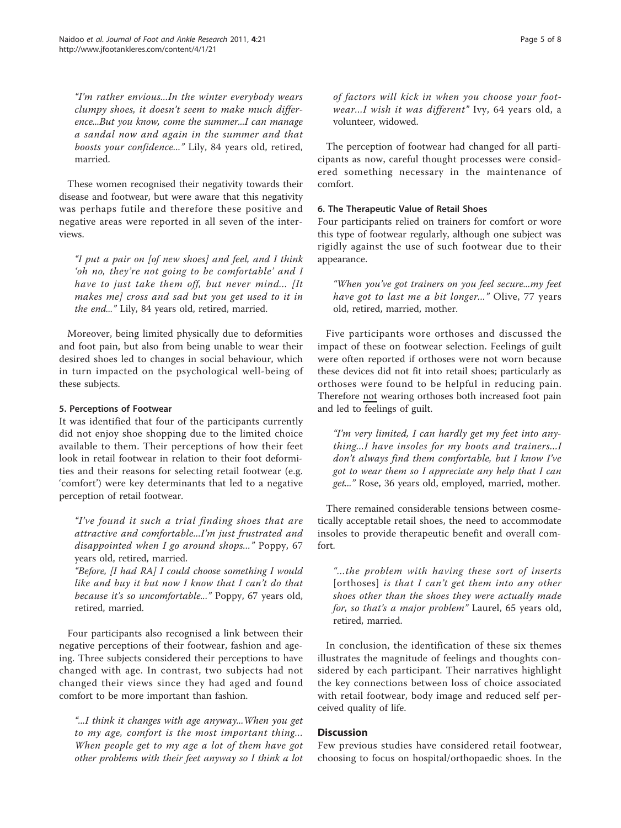"I'm rather envious...In the winter everybody wears clumpy shoes, it doesn't seem to make much difference...But you know, come the summer...I can manage a sandal now and again in the summer and that boosts your confidence..." Lily, 84 years old, retired, married.

These women recognised their negativity towards their disease and footwear, but were aware that this negativity was perhaps futile and therefore these positive and negative areas were reported in all seven of the interviews.

"I put a pair on [of new shoes] and feel, and I think 'oh no, they're not going to be comfortable' and I have to just take them off, but never mind... [It makes me] cross and sad but you get used to it in the end..." Lily, 84 years old, retired, married.

Moreover, being limited physically due to deformities and foot pain, but also from being unable to wear their desired shoes led to changes in social behaviour, which in turn impacted on the psychological well-being of these subjects.

#### 5. Perceptions of Footwear

It was identified that four of the participants currently did not enjoy shoe shopping due to the limited choice available to them. Their perceptions of how their feet look in retail footwear in relation to their foot deformities and their reasons for selecting retail footwear (e.g. 'comfort') were key determinants that led to a negative perception of retail footwear.

"I've found it such a trial finding shoes that are attractive and comfortable...I'm just frustrated and disappointed when I go around shops..." Poppy, 67 years old, retired, married.

"Before, [I had RA] I could choose something I would like and buy it but now I know that I can't do that because it's so uncomfortable..." Poppy, 67 years old, retired, married.

Four participants also recognised a link between their negative perceptions of their footwear, fashion and ageing. Three subjects considered their perceptions to have changed with age. In contrast, two subjects had not changed their views since they had aged and found comfort to be more important than fashion.

"...I think it changes with age anyway... When you get to my age, comfort is the most important thing... When people get to my age a lot of them have got other problems with their feet anyway so I think a lot of factors will kick in when you choose your footwear...I wish it was different" Ivy, 64 years old, a volunteer, widowed.

The perception of footwear had changed for all participants as now, careful thought processes were considered something necessary in the maintenance of comfort.

#### 6. The Therapeutic Value of Retail Shoes

Four participants relied on trainers for comfort or wore this type of footwear regularly, although one subject was rigidly against the use of such footwear due to their appearance.

"When you've got trainers on you feel secure...my feet have got to last me a bit longer..." Olive, 77 years old, retired, married, mother.

Five participants wore orthoses and discussed the impact of these on footwear selection. Feelings of guilt were often reported if orthoses were not worn because these devices did not fit into retail shoes; particularly as orthoses were found to be helpful in reducing pain. Therefore not wearing orthoses both increased foot pain and led to feelings of guilt.

"I'm very limited, I can hardly get my feet into anything...I have insoles for my boots and trainers...I don't always find them comfortable, but I know I've got to wear them so I appreciate any help that I can get..." Rose, 36 years old, employed, married, mother.

There remained considerable tensions between cosmetically acceptable retail shoes, the need to accommodate insoles to provide therapeutic benefit and overall comfort.

"...the problem with having these sort of inserts [orthoses] is that I can't get them into any other shoes other than the shoes they were actually made for, so that's a major problem" Laurel, 65 years old, retired, married.

In conclusion, the identification of these six themes illustrates the magnitude of feelings and thoughts considered by each participant. Their narratives highlight the key connections between loss of choice associated with retail footwear, body image and reduced self perceived quality of life.

#### **Discussion**

Few previous studies have considered retail footwear, choosing to focus on hospital/orthopaedic shoes. In the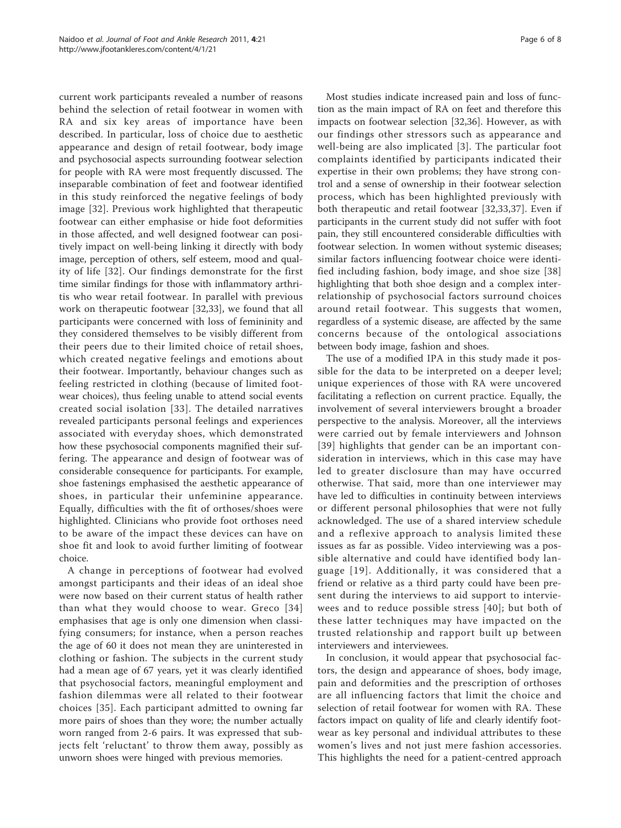current work participants revealed a number of reasons behind the selection of retail footwear in women with RA and six key areas of importance have been described. In particular, loss of choice due to aesthetic appearance and design of retail footwear, body image and psychosocial aspects surrounding footwear selection for people with RA were most frequently discussed. The inseparable combination of feet and footwear identified in this study reinforced the negative feelings of body image [\[32\]](#page-6-0). Previous work highlighted that therapeutic footwear can either emphasise or hide foot deformities in those affected, and well designed footwear can positively impact on well-being linking it directly with body image, perception of others, self esteem, mood and quality of life [[32](#page-6-0)]. Our findings demonstrate for the first time similar findings for those with inflammatory arthritis who wear retail footwear. In parallel with previous work on therapeutic footwear [[32,33\]](#page-6-0), we found that all participants were concerned with loss of femininity and they considered themselves to be visibly different from their peers due to their limited choice of retail shoes, which created negative feelings and emotions about their footwear. Importantly, behaviour changes such as feeling restricted in clothing (because of limited footwear choices), thus feeling unable to attend social events created social isolation [[33\]](#page-6-0). The detailed narratives revealed participants personal feelings and experiences associated with everyday shoes, which demonstrated how these psychosocial components magnified their suffering. The appearance and design of footwear was of considerable consequence for participants. For example, shoe fastenings emphasised the aesthetic appearance of shoes, in particular their unfeminine appearance. Equally, difficulties with the fit of orthoses/shoes were highlighted. Clinicians who provide foot orthoses need to be aware of the impact these devices can have on shoe fit and look to avoid further limiting of footwear choice.

A change in perceptions of footwear had evolved amongst participants and their ideas of an ideal shoe were now based on their current status of health rather than what they would choose to wear. Greco [[34](#page-6-0)] emphasises that age is only one dimension when classifying consumers; for instance, when a person reaches the age of 60 it does not mean they are uninterested in clothing or fashion. The subjects in the current study had a mean age of 67 years, yet it was clearly identified that psychosocial factors, meaningful employment and fashion dilemmas were all related to their footwear choices [\[35\]](#page-6-0). Each participant admitted to owning far more pairs of shoes than they wore; the number actually worn ranged from 2-6 pairs. It was expressed that subjects felt 'reluctant' to throw them away, possibly as unworn shoes were hinged with previous memories.

Most studies indicate increased pain and loss of function as the main impact of RA on feet and therefore this impacts on footwear selection [[32,36\]](#page-6-0). However, as with our findings other stressors such as appearance and well-being are also implicated [[3\]](#page-6-0). The particular foot complaints identified by participants indicated their expertise in their own problems; they have strong control and a sense of ownership in their footwear selection process, which has been highlighted previously with both therapeutic and retail footwear [\[32,33,37](#page-6-0)]. Even if participants in the current study did not suffer with foot pain, they still encountered considerable difficulties with footwear selection. In women without systemic diseases; similar factors influencing footwear choice were identified including fashion, body image, and shoe size [[38](#page-6-0)] highlighting that both shoe design and a complex interrelationship of psychosocial factors surround choices around retail footwear. This suggests that women, regardless of a systemic disease, are affected by the same concerns because of the ontological associations between body image, fashion and shoes.

The use of a modified IPA in this study made it possible for the data to be interpreted on a deeper level; unique experiences of those with RA were uncovered facilitating a reflection on current practice. Equally, the involvement of several interviewers brought a broader perspective to the analysis. Moreover, all the interviews were carried out by female interviewers and Johnson [[39\]](#page-6-0) highlights that gender can be an important consideration in interviews, which in this case may have led to greater disclosure than may have occurred otherwise. That said, more than one interviewer may have led to difficulties in continuity between interviews or different personal philosophies that were not fully acknowledged. The use of a shared interview schedule and a reflexive approach to analysis limited these issues as far as possible. Video interviewing was a possible alternative and could have identified body language [[19](#page-6-0)]. Additionally, it was considered that a friend or relative as a third party could have been present during the interviews to aid support to interviewees and to reduce possible stress [[40\]](#page-7-0); but both of these latter techniques may have impacted on the trusted relationship and rapport built up between interviewers and interviewees.

In conclusion, it would appear that psychosocial factors, the design and appearance of shoes, body image, pain and deformities and the prescription of orthoses are all influencing factors that limit the choice and selection of retail footwear for women with RA. These factors impact on quality of life and clearly identify footwear as key personal and individual attributes to these women's lives and not just mere fashion accessories. This highlights the need for a patient-centred approach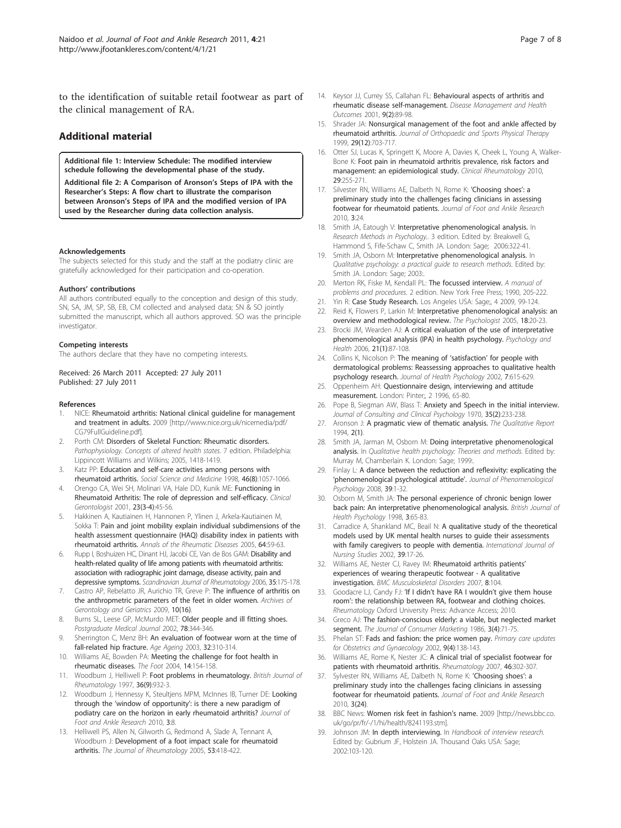<span id="page-6-0"></span>to the identification of suitable retail footwear as part of the clinical management of RA.

### Additional material

[Additional file 1: I](http://www.biomedcentral.com/content/supplementary/1757-1146-4-21-S1.DOC)nterview Schedule: The modified interview schedule following the developmental phase of the study.

[Additional file 2: A](http://www.biomedcentral.com/content/supplementary/1757-1146-4-21-S2.DOC) Comparison of Aronson's Steps of IPA with the Researcher's Steps: A flow chart to illustrate the comparison between Aronson's Steps of IPA and the modified version of IPA used by the Researcher during data collection analysis.

#### Acknowledgements

The subjects selected for this study and the staff at the podiatry clinic are gratefully acknowledged for their participation and co-operation.

#### Authors' contributions

All authors contributed equally to the conception and design of this study. SN, SA, JM, SP, SB, EB, CM collected and analysed data; SN & SO jointly submitted the manuscript, which all authors approved. SO was the principle investigator.

#### Competing interests

The authors declare that they have no competing interests.

Received: 26 March 2011 Accepted: 27 July 2011 Published: 27 July 2011

#### References

- NICE: Rheumatoid arthritis: National clinical guideline for management and treatment in adults. 2009 [[http://www.nice.org.uk/nicemedia/pdf/](http://www.nice.org.uk/nicemedia/pdf/CG79FullGuideline.pdf) [CG79FullGuideline.pdf](http://www.nice.org.uk/nicemedia/pdf/CG79FullGuideline.pdf)].
- 2. Porth CM: Disorders of Skeletal Function: Rheumatic disorders. Pathophysiology. Concepts of altered health states. 7 edition. Philadelphia: Lippincott Williams and Wilkins; 2005, 1418-1419.
- Katz PP: [Education and self-care activities among persons with](http://www.ncbi.nlm.nih.gov/pubmed/9579757?dopt=Abstract) [rheumatoid arthritis.](http://www.ncbi.nlm.nih.gov/pubmed/9579757?dopt=Abstract) Social Science and Medicine 1998, 46(8):1057-1066.
- 4. Orengo CA, Wei SH, Molinari VA, Hale DD, Kunik ME: Functioning in Rheumatoid Arthritis: The role of depression and self-efficacy. Clinical Gerontologist 2001, 23(3-4):45-56.
- 5. Hakkinen A, Kautiainen H, Hannonen P, Ylinen J, Arkela-Kautiainen M, Sokka T: [Pain and joint mobility explain individual subdimensions of the](http://www.ncbi.nlm.nih.gov/pubmed/15130901?dopt=Abstract) [health assessment questionnaire \(HAQ\) disability index in patients with](http://www.ncbi.nlm.nih.gov/pubmed/15130901?dopt=Abstract) [rheumatoid arthritis.](http://www.ncbi.nlm.nih.gov/pubmed/15130901?dopt=Abstract) Annals of the Rheumatic Diseases 2005, 64:59-63.
- 6. Rupp I, Boshuizen HC, Dinant HJ, Jacobi CE, Van de Bos GAM: [Disability and](http://www.ncbi.nlm.nih.gov/pubmed/16766363?dopt=Abstract) [health-related quality of life among patients with rheumatoid arthritis:](http://www.ncbi.nlm.nih.gov/pubmed/16766363?dopt=Abstract) [association with radiographic joint damage, disease activity, pain and](http://www.ncbi.nlm.nih.gov/pubmed/16766363?dopt=Abstract) [depressive symptoms.](http://www.ncbi.nlm.nih.gov/pubmed/16766363?dopt=Abstract) Scandinavian Journal of Rheumatology 2006, 35:175-178.
- 7. Castro AP, Rebelatto JR, Aurichio TR, Greve P: The influence of arthritis on the anthropmetric parameters of the feet in older women. Archives of Gerontology and Geriatrics 2009, 10(16).
- 8. Burns SL, Leese GP, McMurdo MET: [Older people and ill fitting shoes.](http://www.ncbi.nlm.nih.gov/pubmed/12151688?dopt=Abstract) Postgraduate Medical Journal 2002, 78:344-346.
- Sherrington C, Menz BH: [An evaluation of footwear worn at the time of](http://www.ncbi.nlm.nih.gov/pubmed/12720618?dopt=Abstract) [fall-related hip fracture.](http://www.ncbi.nlm.nih.gov/pubmed/12720618?dopt=Abstract) Age Ageing 2003, 32:310-314.
- 10. Williams AE, Bowden PA: Meeting the challenge for foot health in rheumatic diseases. The Foot 2004, 14:154-158.
- 11. Woodburn J, Helliwell P: [Foot problems in rheumatology.](http://www.ncbi.nlm.nih.gov/pubmed/9376986?dopt=Abstract) British Journal of Rheumatology 1997, 36(9):932-3.
- 12. Woodburn J, Hennessy K, Steultjens MPM, McInnes IB, Turner DE: [Looking](http://www.ncbi.nlm.nih.gov/pubmed/20478038?dopt=Abstract) through the 'window of opportunity'[: is there a new paradigm of](http://www.ncbi.nlm.nih.gov/pubmed/20478038?dopt=Abstract) [podiatry care on the horizon in early rheumatoid arthritis?](http://www.ncbi.nlm.nih.gov/pubmed/20478038?dopt=Abstract) Journal of Foot and Ankle Research 2010, 3:8.
- 13. Helliwell PS, Allen N, Gilworth G, Redmond A, Slade A, Tennant A, Woodburn J: Development of a foot impact scale for rheumatoid arthritis. The Journal of Rheumatology 2005, 53:418-422.
- 14. Keysor JJ, Currey SS, Callahan FL: Behavioural aspects of arthritis and rheumatic disease self-management. Disease Management and Health Outcomes 2001, 9(2):89-98.
- 15. Shrader JA: [Nonsurgical management of the foot and ankle affected by](http://www.ncbi.nlm.nih.gov/pubmed/10612068?dopt=Abstract) [rheumatoid arthritis.](http://www.ncbi.nlm.nih.gov/pubmed/10612068?dopt=Abstract) Journal of Orthopaedic and Sports Physical Therapy 1999, 29(12):703-717.
- 16. Otter SJ, Lucas K, Springett K, Moore A, Davies K, Cheek L, Young A, Walker-Bone K: [Foot pain in rheumatoid arthritis prevalence, risk factors and](http://www.ncbi.nlm.nih.gov/pubmed/19997766?dopt=Abstract) [management: an epidemiological study.](http://www.ncbi.nlm.nih.gov/pubmed/19997766?dopt=Abstract) Clinical Rheumatology 2010, 29:255-271.
- 17. Silvester RN, Williams AE, Dalbeth N, Rome K: '[Choosing shoes](http://www.ncbi.nlm.nih.gov/pubmed/20959016?dopt=Abstract)': a [preliminary study into the challenges facing clinicians in assessing](http://www.ncbi.nlm.nih.gov/pubmed/20959016?dopt=Abstract) [footwear for rheumatoid patients.](http://www.ncbi.nlm.nih.gov/pubmed/20959016?dopt=Abstract) Journal of Foot and Ankle Research 2010, 3:24.
- 18. Smith JA, Eatough V: Interpretative phenomenological analysis. In Research Methods in Psychology.. 3 edition. Edited by: Breakwell G, Hammond S, Fife-Schaw C, Smith JA. London: Sage; 2006:322-41.
- 19. Smith JA, Osborn M: Interpretative phenomenological analysis. In Qualitative psychology: a practical guide to research methods. Edited by: Smith JA. London: Sage; 2003:.
- 20. Merton RK, Fiske M, Kendall PL: The focussed interview. A manual of problems and procedures. 2 edition. New York Free Press; 1990, 205-222.
- 21. Yin R: Case Study Research. Los Angeles USA: Sage;, 4 2009, 99-124.
- 22. Reid K, Flowers P, Larkin M: Interpretative phenomenological analysis: an overview and methodological review. The Psychologist 2005, 18:20-23.
- 23. Brocki JM, Wearden AJ: A critical evaluation of the use of interpretative phenomenological analysis (IPA) in health psychology. Psychology and Health 2006, 21(1):87-108.
- 24. Collins K, Nicolson P: The meaning of 'satisfaction' for people with dermatological problems: Reassessing approaches to qualitative health psychology research. Journal of Health Psychology 2002, 7:615-629.
- 25. Oppenheim AH: Questionnaire design, interviewing and attitude measurement. London: Pinter;, 2 1996, 65-80.
- 26. Pope B, Siegman AW, Blass T: [Anxiety and Speech in the initial interview.](http://www.ncbi.nlm.nih.gov/pubmed/5474290?dopt=Abstract) Journal of Consulting and Clinical Psychology 1970, 35(2):233-238.
- 27. Aronson J: A pragmatic view of thematic analysis. The Qualitative Report 1994, 2(1).
- 28. Smith JA, Jarman M, Osborn M: Doing interpretative phenomenological analysis. In Qualitative health psychology: Theories and methods. Edited by: Murray M, Chamberlain K. London: Sage; 1999:.
- 29. Finlay L: A dance between the reduction and reflexivity: explicating the 'phenomenological psychological attitude'. Journal of Phenomenological Psychology 2008, 39:1-32.
- 30. Osborn M, Smith JA: The personal experience of chronic benign lower back pain: An interpretative phenomenological analysis. British Journal of Health Psychology 1998, 3:65-83.
- 31. Carradice A, Shankland MC, Beail N: [A qualitative study of the theoretical](http://www.ncbi.nlm.nih.gov/pubmed/11722830?dopt=Abstract) [models used by UK mental health nurses to guide their assessments](http://www.ncbi.nlm.nih.gov/pubmed/11722830?dopt=Abstract) [with family caregivers to people with dementia.](http://www.ncbi.nlm.nih.gov/pubmed/11722830?dopt=Abstract) International Journal of Nursing Studies 2002, 39:17-26.
- 32. Williams AE, Nester CJ, Ravey IM: [Rheumatoid arthritis patients](http://www.ncbi.nlm.nih.gov/pubmed/17976235?dopt=Abstract)' [experiences of wearing therapeutic footwear - A qualitative](http://www.ncbi.nlm.nih.gov/pubmed/17976235?dopt=Abstract) [investigation.](http://www.ncbi.nlm.nih.gov/pubmed/17976235?dopt=Abstract) BMC Musculoskeletal Disorders 2007, 8:104.
- 33. Goodacre LJ, Candy FJ: 'If I didn't have RA I wouldn't give them house room': the relationship between RA, footwear and clothing choices. Rheumatology Oxford University Press: Advance Access; 2010.
- 34. Greco AJ: The fashion-conscious elderly: a viable, but neglected market segment. The Journal of Consumer Marketing 1986, 3(4):71-75.
- 35. Phelan ST: Fads and fashion: the price women pay. Primary care updates for Obstetrics and Gynaecology 2002, 9(4):138-143.
- 36. Williams AE, Rome K, Nester JC: [A clinical trial of specialist footwear for](http://www.ncbi.nlm.nih.gov/pubmed/16877461?dopt=Abstract) [patients with rheumatoid arthritis.](http://www.ncbi.nlm.nih.gov/pubmed/16877461?dopt=Abstract) Rheumatology 2007, 46:302-307.
- 37. Sylvester RN, Williams AE, Dalbeth N, Rome K: 'Choosing shoes': a preliminary study into the challenges facing clinicians in assessing footwear for rheumatoid patients. Journal of Foot and Ankle Research 2010, 3(24).
- 38. BBC News: Women risk feet in fashion's name. 2009 [\[http://news.bbc.co.](http://news.bbc.co.uk/go/pr/fr/-/1/hi/health/8241193.stm) [uk/go/pr/fr/-/1/hi/health/8241193.stm](http://news.bbc.co.uk/go/pr/fr/-/1/hi/health/8241193.stm)].
- 39. Johnson JM: In depth interviewing. In Handbook of interview research. Edited by: Gubrium JF, Holstein JA. Thousand Oaks USA: Sage; 2002:103-120.